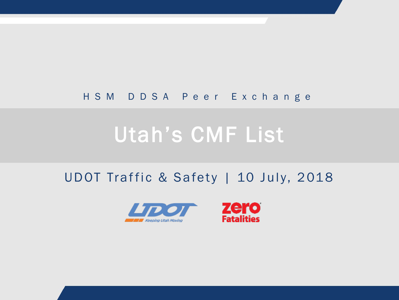#### HSM DDSA Peer Exchange

# Utah's CMF List

#### UDOT Traffic & Safety | 10 July, 2018



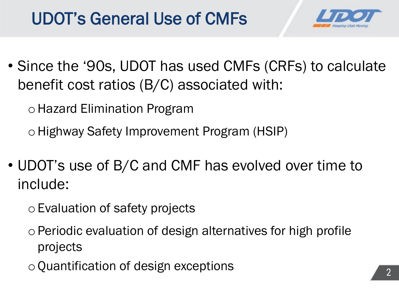## UDOT's General Use of CMFs



• Since the '90s, UDOT has used CMFs (CRFs) to calculate benefit cost ratios (B/C) associated with:

oHazard Elimination Program

oHighway Safety Improvement Program (HSIP)

- UDOT's use of B/C and CMF has evolved over time to include:
	- oEvaluation of safety projects
	- oPeriodic evaluation of design alternatives for high profile projects
	- $\circ$  Quantification of design exceptions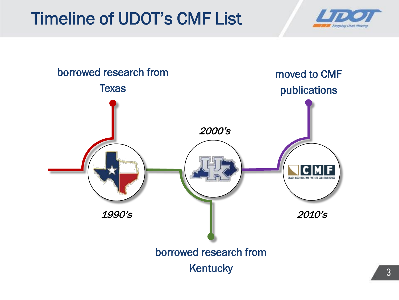## Timeline of UDOT's CMF List



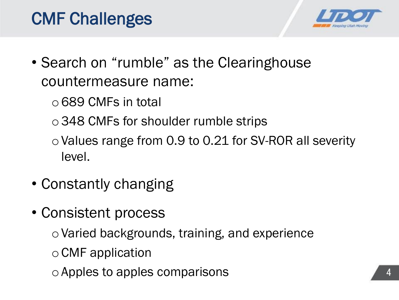



- Search on "rumble" as the Clearinghouse countermeasure name:
	- $\circ$  689 CMFs in total
	- o348 CMFs for shoulder rumble strips
	- $\circ$  Values range from 0.9 to 0.21 for SV-ROR all severity level.
- Constantly changing
- Consistent process
	- oVaried backgrounds, training, and experience
	- $\circ$  CMF application
	- oApples to apples comparisons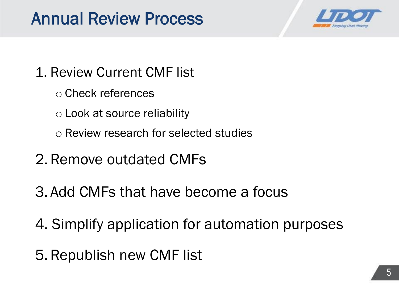### Annual Review Process



#### 1. Review Current CMF list

- o Check references
- o Look at source reliability
- o Review research for selected studies
- 2.Remove outdated CMFs
- 3. Add CMFs that have become a focus
- 4. Simplify application for automation purposes
- 5.Republish new CMF list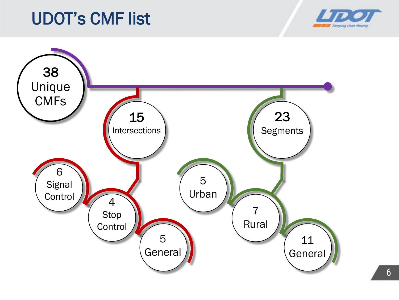### UDOT's CMF list



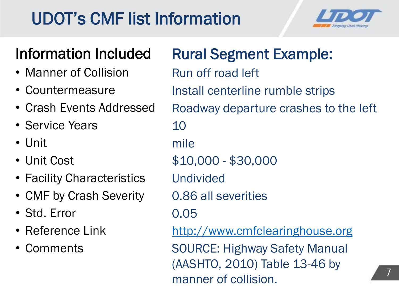## UDOT's CMF list Information



7

#### Information Included

- Manner of Collision
- Countermeasure
- Crash Events Addressed
- Service Years
- Unit
- Unit Cost
- Facility Characteristics
- CMF by Crash Severity
- Std. Error
- Reference Link
- Comments

Rural Segment Example: Run off road left Install centerline rumble strips Roadway departure crashes to the left 10 mile \$10,000 - \$30,000 Undivided 0.86 all severities 0.05 [http://www.cmfclearinghouse.org](http://www.cmfclearinghouse.org/) SOURCE: Highway Safety Manual (AASHTO, 2010) Table 13-46 by manner of collision.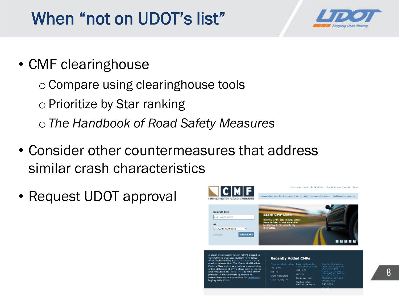## When "not on UDOT's list"



• CMF clearinghouse

oCompare using clearinghouse tools  $\circ$  Prioritize by Star ranking o*The Handbook of Road Safety Measures*

- Consider other countermeasures that address similar crash characteristics
- Request UDOT approval



it also pro sarchers on best practice: h quality CMFs

#### **Recently Added CMFs**

| relide a ratischmodian - Inista I cable modian<br>1.049 | thousand that the stand-                               | <b>Install an Intersection</b><br>a multiple to see a many seguitorial<br>(JOWE) with post |
|---------------------------------------------------------|--------------------------------------------------------|--------------------------------------------------------------------------------------------|
| <b>FIST</b>                                             | EMP: 0.76                                              | manual collection in a favorage.<br>measures) and flashers                                 |
| whitepacities:                                          | GBI 24<br><b>Conditioner Other</b>                     | and artist area and that<br>intertection on major:                                         |
| nde several p. Al.                                      | <b>Crash revertor:</b><br><b>Lability were company</b> | <b>MANUFACTURE</b>                                                                         |
|                                                         |                                                        | 04110334                                                                                   |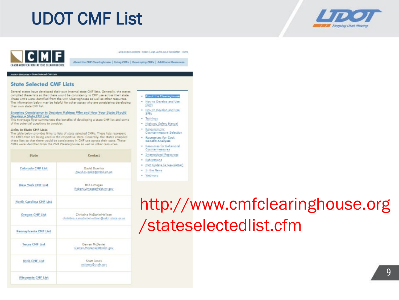### UDOT CMF List





Skip to main cardoot | Notice | Sign Sip for Jor Je Neveletter, | Home

About the CMF Clearinghouse | Using CMFs | Developing CMFs | Additional Resources

#### Hame . Resources . State Selected CNP Lion.

#### **State Selected CMF Lists**

Several states have developed their own internal state CMF lists. Generally, the states compiled these lists so that there would be consistency in CMF use across their state. These CMFs were identified from the CMF Clearinghouse as well as other resources. The information below may be helpful for other states who are considering developing their own state CNF list.

Ensuring Consistency in Decision Making: Why and How Your State Should Develop a State CMF List

This two-page flyer summarizes the benefits of developing a state CMF list and some of the potential questions to consider.

#### Links to State CMF Lists

The table below provides links to lists of state selected CMFs. These lists represent the CMFs that are being used in the respective state. Generally, the states compiled these lists so that there would be consistency in CMF use across their state. These CMFs were identified from the CMF Clearinghouse as well as other resources.

| State                    | Contact                                                                   |
|--------------------------|---------------------------------------------------------------------------|
| Colorado CMF List        | David Swenka<br>david.swenka@state.co.us                                  |
| <b>New York CMF List</b> | Rob Limoges<br>Robert.Limoges@dot.ny.gov                                  |
| North Carolina CMF List  |                                                                           |
| <b>Oregon CMF List</b>   | Christina McDaniel-Wilson<br>christina.a.mcdaniel-wilson@odot.state.or.us |
| Pennsylvania CMF List    |                                                                           |
| <b>Texas CMF List</b>    | Darren McDaniel<br>Darren.McDaniel@txdot.gov                              |
| <b>Utah CMF List</b>     | Scott Jones<br>wsjones@utah.gov                                           |
| Wisconsin CMF List       |                                                                           |

- **About the Clearinghouse**
- . How to Develop and Use CMFs
- . How to Develop and Use SPFs
- · Trainings
- . Highway Safety Manual
- · Resources for Countermeasure Selection.
- · Resources for Cost **Benefit Analysis**
- Resources for Behavioral Countermeasures
- · International Resources
- · Publications
- · CMF Update (e-Newsletter)
- In the News
- · Webinars

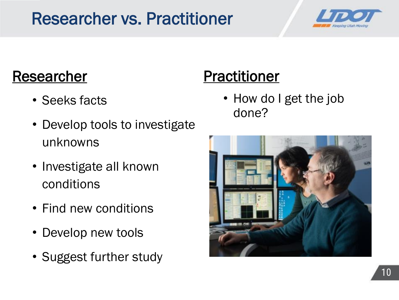## Researcher vs. Practitioner



#### Researcher

- Seeks facts
- Develop tools to investigate unknowns
- Investigate all known conditions
- Find new conditions
- Develop new tools
- Suggest further study

## **Practitioner**

• How do I get the job done?